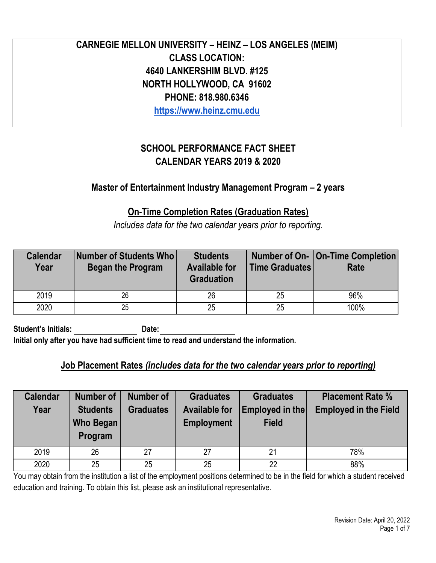# **CARNEGIE MELLON UNIVERSITY – HEINZ – LOS ANGELES (MEIM) CLASS LOCATION: 4640 LANKERSHIM BLVD. #125 NORTH HOLLYWOOD, CA 91602 PHONE: 818.980.6346**

**[https://www.heinz.cmu.edu](https://www.heinz.cmu.edu/programs/entertainment-industry-management-master/)** 

# **SCHOOL PERFORMANCE FACT SHEET CALENDAR YEARS 2019 & 2020**

# **Master of Entertainment Industry Management Program – 2 years**

# **On-Time Completion Rates (Graduation Rates)**

*Includes data for the two calendar years prior to reporting.*

| <b>Calendar</b><br>Year | Number of Students Who<br><b>Began the Program</b> | <b>Students</b><br><b>Available for</b><br><b>Graduation</b> | <b>Time Graduates</b> | Number of On-   On-Time Completion <br><b>Rate</b> |
|-------------------------|----------------------------------------------------|--------------------------------------------------------------|-----------------------|----------------------------------------------------|
| 2019                    | 26                                                 | 26                                                           | 25                    | 96%                                                |
| 2020                    | 25                                                 | 25                                                           | 25                    | 100%                                               |

Student's Initials: Date: **Initial only after you have had sufficient time to read and understand the information.**

### **Job Placement Rates** *(includes data for the two calendar years prior to reporting)*

| <b>Calendar</b><br>Year | <b>Number of</b><br><b>Students</b><br>Who Began<br>Program | Number of<br><b>Graduates</b> | <b>Graduates</b><br><b>Available for</b><br><b>Employment</b> | <b>Graduates</b><br><b>Employed in the</b><br><b>Field</b> | <b>Placement Rate %</b><br><b>Employed in the Field</b> |
|-------------------------|-------------------------------------------------------------|-------------------------------|---------------------------------------------------------------|------------------------------------------------------------|---------------------------------------------------------|
| 2019                    | 26                                                          | 27                            | 27                                                            | 21                                                         | 78%                                                     |
| 2020                    | 25                                                          | 25                            | 25                                                            | 22                                                         | 88%                                                     |

You may obtain from the institution a list of the employment positions determined to be in the field for which a student received education and training. To obtain this list, please ask an institutional representative.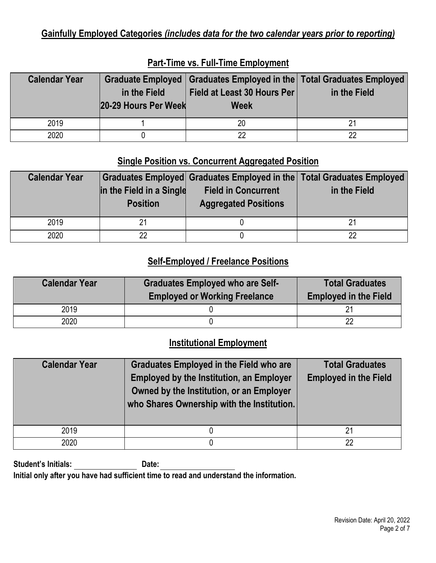# **Gainfully Employed Categories** *(includes data for the two calendar years prior to reporting)*

| <b>Calendar Year</b> | in the Field<br>20-29 Hours Per Week | Graduate Employed   Graduates Employed in the   Total Graduates Employed<br>Field at Least 30 Hours Per<br><b>Week</b> | in the Field |
|----------------------|--------------------------------------|------------------------------------------------------------------------------------------------------------------------|--------------|
| 2019                 |                                      | 20                                                                                                                     |              |
| 2020                 |                                      | იი                                                                                                                     | 22           |

### **Part-Time vs. Full-Time Employment**

### **Single Position vs. Concurrent Aggregated Position**

| <b>Calendar Year</b> | in the Field in a Single<br><b>Position</b> | Graduates Employed Graduates Employed in the Total Graduates Employed<br><b>Field in Concurrent</b><br><b>Aggregated Positions</b> | in the Field |
|----------------------|---------------------------------------------|------------------------------------------------------------------------------------------------------------------------------------|--------------|
| 2019                 | 21                                          |                                                                                                                                    |              |
| 2020                 | ററ                                          |                                                                                                                                    | 22           |

# **Self-Employed / Freelance Positions**

| <b>Calendar Year</b> | <b>Graduates Employed who are Self-</b><br><b>Employed or Working Freelance</b> | <b>Total Graduates</b><br><b>Employed in the Field</b> |
|----------------------|---------------------------------------------------------------------------------|--------------------------------------------------------|
| 2019                 |                                                                                 |                                                        |
| 2020                 |                                                                                 |                                                        |

# **Institutional Employment**

| <b>Calendar Year</b> | <b>Graduates Employed in the Field who are</b><br><b>Employed by the Institution, an Employer</b><br>Owned by the Institution, or an Employer<br>who Shares Ownership with the Institution. | <b>Total Graduates</b><br><b>Employed in the Field</b> |
|----------------------|---------------------------------------------------------------------------------------------------------------------------------------------------------------------------------------------|--------------------------------------------------------|
| 2019                 |                                                                                                                                                                                             | 21                                                     |
| 2020                 |                                                                                                                                                                                             | 22                                                     |

**Student's Initials: Date:** 

**Initial only after you have had sufficient time to read and understand the information.**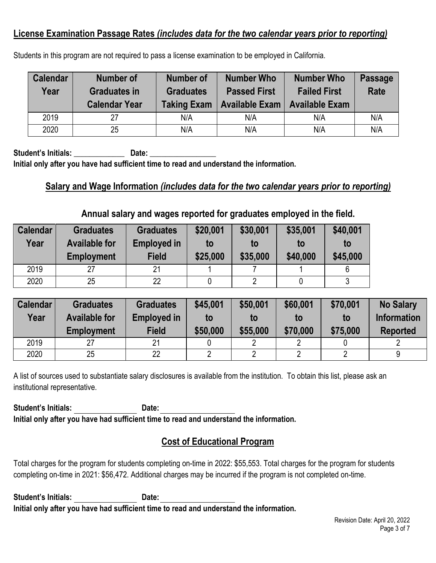### **License Examination Passage Rates** *(includes data for the two calendar years prior to reporting)*

| <b>Calendar</b><br>Year | Number of<br><b>Graduates in</b><br><b>Calendar Year</b> | Number of<br><b>Graduates</b><br><b>Taking Exam</b> | <b>Number Who</b><br><b>Passed First</b><br><b>Available Exam</b> | <b>Number Who</b><br><b>Failed First</b><br><b>Available Exam</b> | <b>Passage</b><br><b>Rate</b> |
|-------------------------|----------------------------------------------------------|-----------------------------------------------------|-------------------------------------------------------------------|-------------------------------------------------------------------|-------------------------------|
| 2019                    | 27                                                       | N/A                                                 | N/A                                                               | N/A                                                               | N/A                           |
| 2020                    | 25                                                       | N/A                                                 | N/A                                                               | N/A                                                               | N/A                           |

Students in this program are not required to pass a license examination to be employed in California.

**Student's Initials: \_\_\_\_\_\_\_\_\_\_\_\_\_ Date:** \_\_\_\_\_\_\_\_\_\_\_\_\_\_\_\_\_ **Initial only after you have had sufficient time to read and understand the information.**

#### **Salary and Wage Information** *(includes data for the two calendar years prior to reporting)*

#### **Annual salary and wages reported for graduates employed in the field.**

| <b>Calendar</b> | <b>Graduates</b>                          | <b>Graduates</b>                   | \$20,001       | \$30,001       | \$35,001       | \$40,001       |
|-----------------|-------------------------------------------|------------------------------------|----------------|----------------|----------------|----------------|
| Year            | <b>Available for</b><br><b>Employment</b> | <b>Employed in</b><br><b>Field</b> | to<br>\$25,000 | to<br>\$35,000 | to<br>\$40,000 | to<br>\$45,000 |
| 2019            | 27                                        | 21                                 |                |                |                |                |
| 2020            | 25                                        | 22                                 |                | n              |                |                |

| <b>Calendar</b><br>Year | <b>Graduates</b><br><b>Available for</b><br>Employment | <b>Graduates</b><br><b>Employed in</b><br><b>Field</b> | \$45,001<br>to<br>\$50,000 | \$50,001<br>to<br>\$55,000 | \$60,001<br>to<br>\$70,000 | \$70,001<br>to<br>\$75,000 | <b>No Salary</b><br><b>Information</b><br><b>Reported</b> |
|-------------------------|--------------------------------------------------------|--------------------------------------------------------|----------------------------|----------------------------|----------------------------|----------------------------|-----------------------------------------------------------|
| 2019                    |                                                        | 21                                                     |                            |                            |                            |                            |                                                           |
| 2020                    | 25                                                     | 22                                                     |                            |                            |                            |                            |                                                           |

A list of sources used to substantiate salary disclosures is available from the institution. To obtain this list, please ask an institutional representative.

Student's Initials: **Date:** Date: **Initial only after you have had sufficient time to read and understand the information.**

### **Cost of Educational Program**

Total charges for the program for students completing on-time in 2022: \$55,553. Total charges for the program for students completing on-time in 2021: \$56,472. Additional charges may be incurred if the program is not completed on-time.

**Student's Initials: Date: Initial only after you have had sufficient time to read and understand the information.**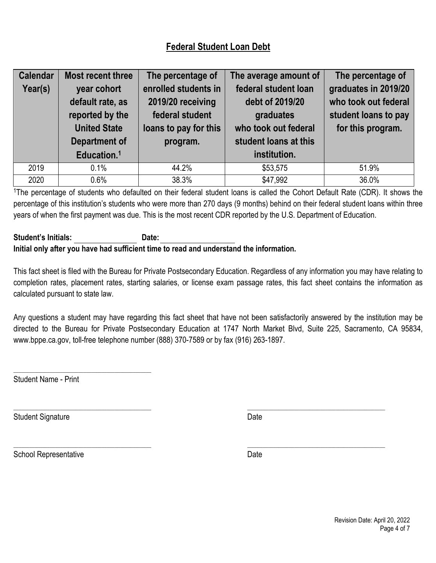# **Federal Student Loan Debt**

| <b>Calendar</b><br>Year(s) | <b>Most recent three</b><br>year cohort<br>default rate, as<br>reported by the<br><b>United State</b><br><b>Department of</b><br>Education. <sup>1</sup> | The percentage of<br>enrolled students in<br>2019/20 receiving<br>federal student<br>loans to pay for this<br>program. | The average amount of<br>federal student loan<br>debt of 2019/20<br>graduates<br>who took out federal<br>student loans at this<br>institution. | The percentage of<br>graduates in 2019/20<br>who took out federal<br>student loans to pay<br>for this program. |
|----------------------------|----------------------------------------------------------------------------------------------------------------------------------------------------------|------------------------------------------------------------------------------------------------------------------------|------------------------------------------------------------------------------------------------------------------------------------------------|----------------------------------------------------------------------------------------------------------------|
|                            |                                                                                                                                                          |                                                                                                                        |                                                                                                                                                |                                                                                                                |
| 2019                       | 0.1%                                                                                                                                                     | 44.2%                                                                                                                  | \$53,575                                                                                                                                       | 51.9%                                                                                                          |
| 2020                       | 0.6%                                                                                                                                                     | 38.3%                                                                                                                  | \$47,992                                                                                                                                       | 36.0%                                                                                                          |

<sup>1</sup>The percentage of students who defaulted on their federal student loans is called the Cohort Default Rate (CDR). It shows the percentage of this institution's students who were more than 270 days (9 months) behind on their federal student loans within three years of when the first payment was due. This is the most recent CDR reported by the U.S. Department of Education.

#### **Student's Initials: Date: Initial only after you have had sufficient time to read and understand the information.**

This fact sheet is filed with the Bureau for Private Postsecondary Education. Regardless of any information you may have relating to completion rates, placement rates, starting salaries, or license exam passage rates, this fact sheet contains the information as calculated pursuant to state law.

Any questions a student may have regarding this fact sheet that have not been satisfactorily answered by the institution may be directed to the Bureau for Private Postsecondary Education at 1747 North Market Blvd, Suite 225, Sacramento, CA 95834, [www.bppe.ca.gov,](http://www.bppe.ca.gov/) toll-free telephone number (888) 370-7589 or by fax (916) 263-1897.

\_\_\_\_\_\_\_\_\_\_\_\_\_\_\_\_\_\_\_\_\_\_\_\_\_\_\_\_\_\_\_\_\_\_\_\_\_\_\_\_\_\_\_\_\_\_\_\_\_\_\_\_\_ \_\_\_\_\_\_\_\_\_\_\_\_\_\_\_\_\_\_\_\_\_\_\_\_\_\_\_\_\_\_\_\_\_\_\_\_\_\_\_\_\_\_\_\_\_\_\_\_\_\_\_\_\_

\_\_\_\_\_\_\_\_\_\_\_\_\_\_\_\_\_\_\_\_\_\_\_\_\_\_\_\_\_\_\_\_\_\_\_\_\_\_\_\_\_\_\_\_\_\_\_\_\_\_\_\_\_ \_\_\_\_\_\_\_\_\_\_\_\_\_\_\_\_\_\_\_\_\_\_\_\_\_\_\_\_\_\_\_\_\_\_\_\_\_\_\_\_\_\_\_\_\_\_\_\_\_\_\_\_\_

Student Name - Print

\_\_\_\_\_\_\_\_\_\_\_\_\_\_\_\_\_\_\_\_\_\_\_\_\_\_\_\_\_\_\_\_\_\_\_\_\_\_\_\_\_\_\_\_\_\_\_\_\_\_\_\_\_

Student Signature Date Date Controllers and Date Date Date

School Representative Date Date Date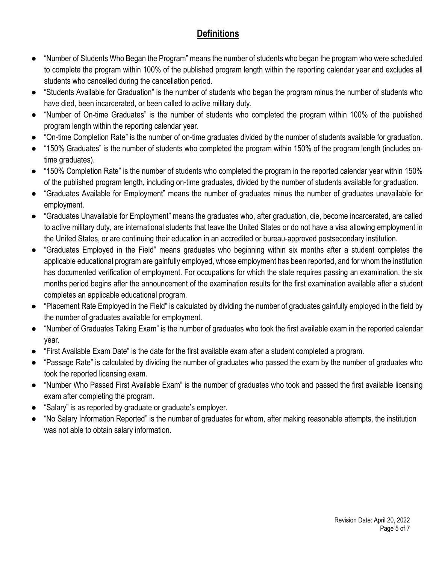# **Definitions**

- "Number of Students Who Began the Program" means the number of students who began the program who were scheduled to complete the program within 100% of the published program length within the reporting calendar year and excludes all students who cancelled during the cancellation period.
- "Students Available for Graduation" is the number of students who began the program minus the number of students who have died, been incarcerated, or been called to active military duty.
- "Number of On-time Graduates" is the number of students who completed the program within 100% of the published program length within the reporting calendar year.
- "On-time Completion Rate" is the number of on-time graduates divided by the number of students available for graduation.
- "150% Graduates" is the number of students who completed the program within 150% of the program length (includes ontime graduates).
- "150% Completion Rate" is the number of students who completed the program in the reported calendar year within 150% of the published program length, including on-time graduates, divided by the number of students available for graduation.
- "Graduates Available for Employment" means the number of graduates minus the number of graduates unavailable for employment.
- "Graduates Unavailable for Employment" means the graduates who, after graduation, die, become incarcerated, are called to active military duty, are international students that leave the United States or do not have a visa allowing employment in the United States, or are continuing their education in an accredited or bureau-approved postsecondary institution.
- "Graduates Employed in the Field" means graduates who beginning within six months after a student completes the applicable educational program are gainfully employed, whose employment has been reported, and for whom the institution has documented verification of employment. For occupations for which the state requires passing an examination, the six months period begins after the announcement of the examination results for the first examination available after a student completes an applicable educational program.
- "Placement Rate Employed in the Field" is calculated by dividing the number of graduates gainfully employed in the field by the number of graduates available for employment.
- "Number of Graduates Taking Exam" is the number of graduates who took the first available exam in the reported calendar year.
- "First Available Exam Date" is the date for the first available exam after a student completed a program.
- "Passage Rate" is calculated by dividing the number of graduates who passed the exam by the number of graduates who took the reported licensing exam.
- "Number Who Passed First Available Exam" is the number of graduates who took and passed the first available licensing exam after completing the program.
- "Salary" is as reported by graduate or graduate's employer.
- "No Salary Information Reported" is the number of graduates for whom, after making reasonable attempts, the institution was not able to obtain salary information.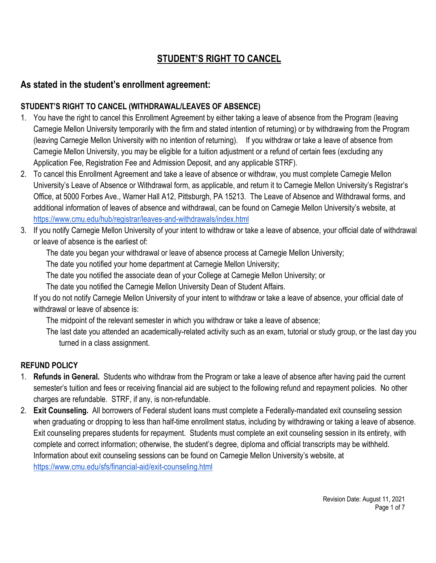# **STUDENT'S RIGHT TO CANCEL**

### **As stated in the student's enrollment agreement:**

#### **STUDENT'S RIGHT TO CANCEL (WITHDRAWAL/LEAVES OF ABSENCE)**

- 1. You have the right to cancel this Enrollment Agreement by either taking a leave of absence from the Program (leaving Carnegie Mellon University temporarily with the firm and stated intention of returning) or by withdrawing from the Program (leaving Carnegie Mellon University with no intention of returning). If you withdraw or take a leave of absence from Carnegie Mellon University, you may be eligible for a tuition adjustment or a refund of certain fees (excluding any Application Fee, Registration Fee and Admission Deposit, and any applicable STRF).
- 2. To cancel this Enrollment Agreement and take a leave of absence or withdraw, you must complete Carnegie Mellon University's Leave of Absence or Withdrawal form, as applicable, and return it to Carnegie Mellon University's Registrar's Office, at 5000 Forbes Ave., Warner Hall A12, Pittsburgh, PA 15213. The Leave of Absence and Withdrawal forms, and additional information of leaves of absence and withdrawal, can be found on Carnegie Mellon University's website, at <https://www.cmu.edu/hub/registrar/leaves-and-withdrawals/index.html>
- 3. If you notify Carnegie Mellon University of your intent to withdraw or take a leave of absence, your official date of withdrawal or leave of absence is the earliest of:
	- The date you began your withdrawal or leave of absence process at Carnegie Mellon University;

The date you notified your home department at Carnegie Mellon University;

The date you notified the associate dean of your College at Carnegie Mellon University; or

The date you notified the Carnegie Mellon University Dean of Student Affairs.

If you do not notify Carnegie Mellon University of your intent to withdraw or take a leave of absence, your official date of withdrawal or leave of absence is:

The midpoint of the relevant semester in which you withdraw or take a leave of absence;

The last date you attended an academically-related activity such as an exam, tutorial or study group, or the last day you turned in a class assignment.

### **REFUND POLICY**

- 1. **Refunds in General.** Students who withdraw from the Program or take a leave of absence after having paid the current semester's tuition and fees or receiving financial aid are subject to the following refund and repayment policies. No other charges are refundable. STRF, if any, is non-refundable.
- 2. **Exit Counseling.** All borrowers of Federal student loans must complete a Federally-mandated exit counseling session when graduating or dropping to less than half-time enrollment status, including by withdrawing or taking a leave of absence. Exit counseling prepares students for repayment. Students must complete an exit counseling session in its entirety, with complete and correct information; otherwise, the student's degree, diploma and official transcripts may be withheld. Information about exit counseling sessions can be found on Carnegie Mellon University's website, at <https://www.cmu.edu/sfs/financial-aid/exit-counseling.html>